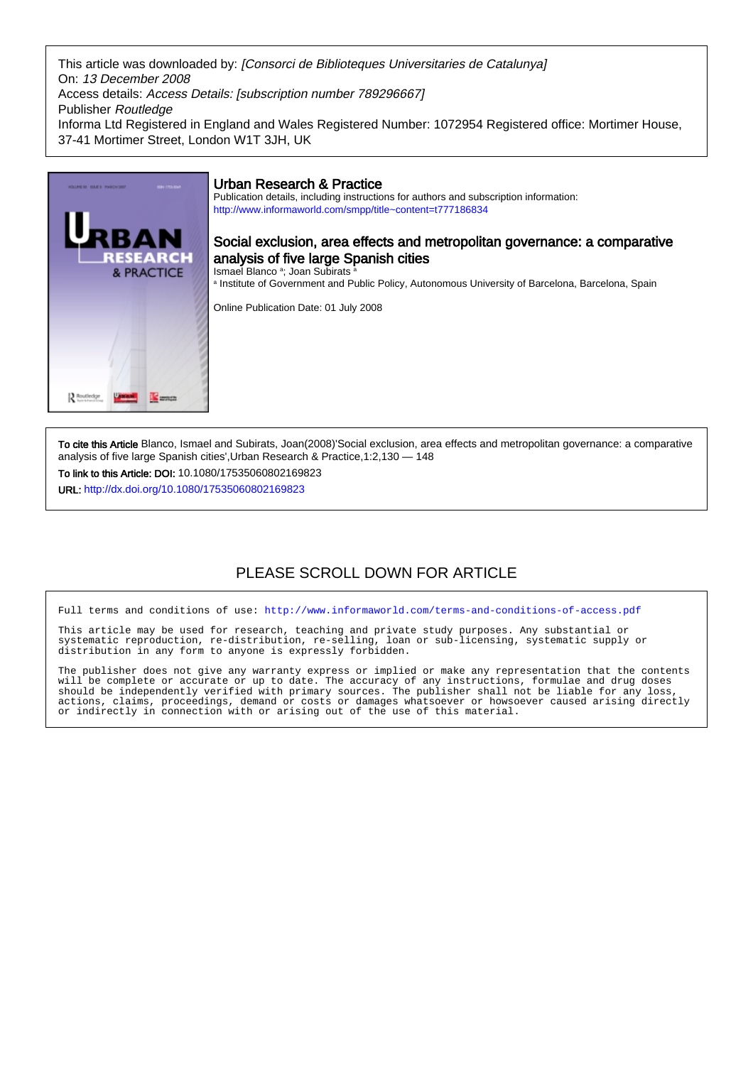This article was downloaded by: [Consorci de Biblioteques Universitaries de Catalunya] On: 13 December 2008 Access details: Access Details: [subscription number 789296667] Publisher Routledge Informa Ltd Registered in England and Wales Registered Number: 1072954 Registered office: Mortimer House, 37-41 Mortimer Street, London W1T 3JH, UK



To cite this Article Blanco, Ismael and Subirats, Joan(2008)'Social exclusion, area effects and metropolitan governance: a comparative analysis of five large Spanish cities',Urban Research & Practice,1:2,130 — 148

To link to this Article: DOI: 10.1080/17535060802169823

URL: <http://dx.doi.org/10.1080/17535060802169823>

# PLEASE SCROLL DOWN FOR ARTICLE

Full terms and conditions of use:<http://www.informaworld.com/terms-and-conditions-of-access.pdf>

This article may be used for research, teaching and private study purposes. Any substantial or systematic reproduction, re-distribution, re-selling, loan or sub-licensing, systematic supply or distribution in any form to anyone is expressly forbidden.

The publisher does not give any warranty express or implied or make any representation that the contents will be complete or accurate or up to date. The accuracy of any instructions, formulae and drug doses should be independently verified with primary sources. The publisher shall not be liable for any loss, actions, claims, proceedings, demand or costs or damages whatsoever or howsoever caused arising directly or indirectly in connection with or arising out of the use of this material.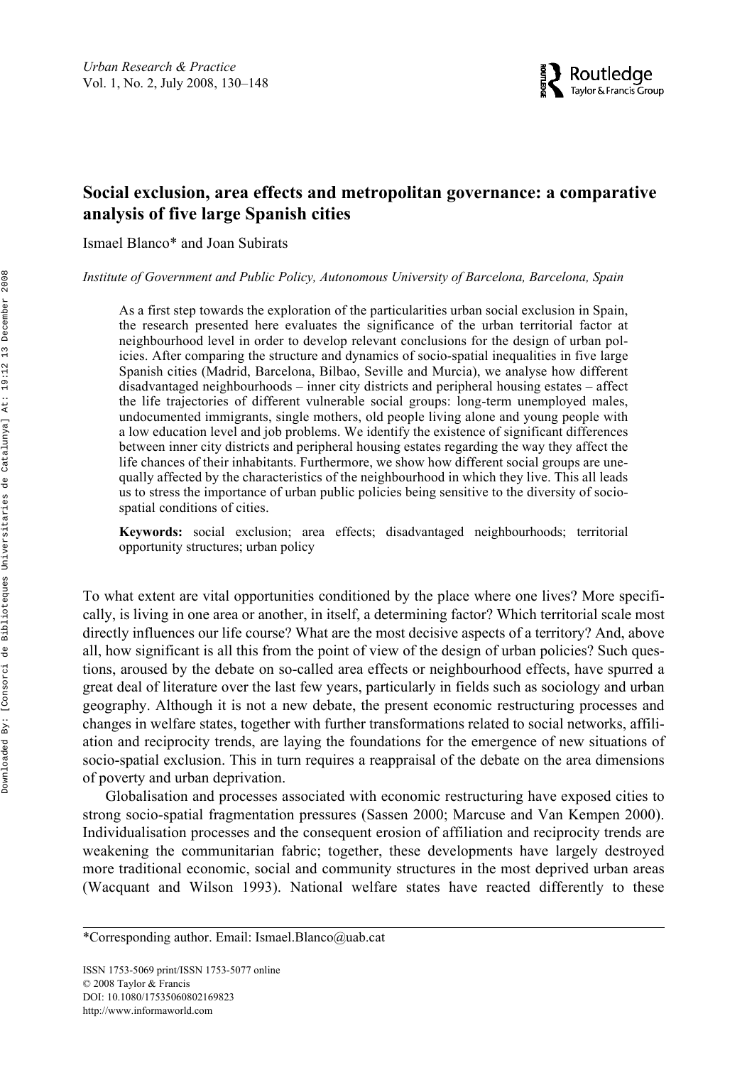

# RURP 1753-5069 1753-5077Urban Research & Practice, Vol. 1, No. 2, Aug 2008: pp. 0–0 Practice **Social exclusion, area effects and metropolitan governance: a comparative analysis of five large Spanish cities**

Ismael Blanco\* and Joan Subirats

*Institute of Government and Public Policy, Autonomous University of Barcelona, Barcelona, Spain*

As a first step towards the exploration of the particularities urban social exclusion in Spain, the research presented here evaluates the significance of the urban territorial factor at neighbourhood level in order to develop relevant conclusions for the design of urban policies. After comparing the structure and dynamics of socio-spatial inequalities in five large Spanish cities (Madrid, Barcelona, Bilbao, Seville and Murcia), we analyse how different disadvantaged neighbourhoods – inner city districts and peripheral housing estates – affect the life trajectories of different vulnerable social groups: long-term unemployed males, undocumented immigrants, single mothers, old people living alone and young people with a low education level and job problems. We identify the existence of significant differences between inner city districts and peripheral housing estates regarding the way they affect the life chances of their inhabitants. Furthermore, we show how different social groups are unequally affected by the characteristics of the neighbourhood in which they live. This all leads us to stress the importance of urban public policies being sensitive to the diversity of sociospatial conditions of cities.

**Keywords:** social exclusion; area effects; disadvantaged neighbourhoods; territorial opportunity structures; urban policy

To what extent are vital opportunities conditioned by the place where one lives? More specifically, is living in one area or another, in itself, a determining factor? Which territorial scale most directly influences our life course? What are the most decisive aspects of a territory? And, above all, how significant is all this from the point of view of the design of urban policies? Such questions, aroused by the debate on so-called area effects or neighbourhood effects, have spurred a great deal of literature over the last few years, particularly in fields such as sociology and urban geography. Although it is not a new debate, the present economic restructuring processes and changes in welfare states, together with further transformations related to social networks, affiliation and reciprocity trends, are laying the foundations for the emergence of new situations of socio-spatial exclusion. This in turn requires a reappraisal of the debate on the area dimensions of poverty and urban deprivation.

Globalisation and processes associated with economic restructuring have exposed cities to strong socio-spatial fragmentation pressures (Sassen 2000; Marcuse and Van Kempen 2000). Individualisation processes and the consequent erosion of affiliation and reciprocity trends are weakening the communitarian fabric; together, these developments have largely destroyed more traditional economic, social and community structures in the most deprived urban areas (Wacquant and Wilson 1993). National welfare states have reacted differently to these

ISSN 1753-5069 print/ISSN 1753-5077 online © 2008 Taylor & Francis DOI: 10.1080/17535060802169823 http://www.informaworld.com

<sup>\*</sup>Corresponding author. Email: Ismael.Blanco@uab.cat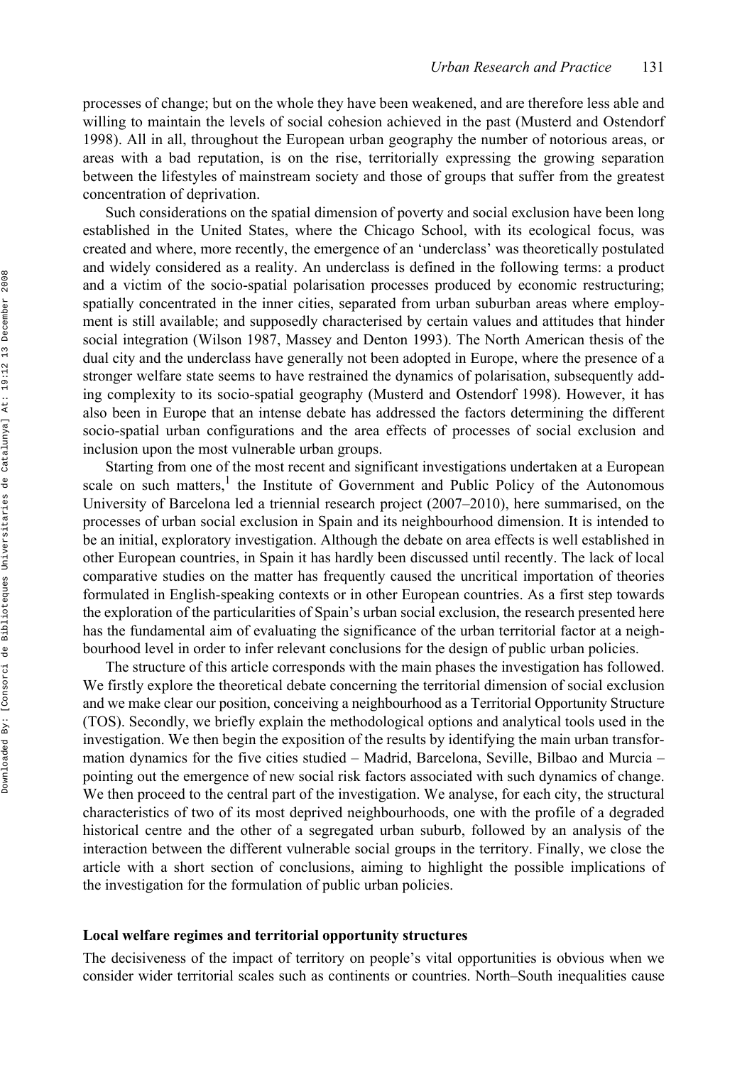processes of change; but on the whole they have been weakened, and are therefore less able and willing to maintain the levels of social cohesion achieved in the past (Musterd and Ostendorf 1998). All in all, throughout the European urban geography the number of notorious areas, or areas with a bad reputation, is on the rise, territorially expressing the growing separation between the lifestyles of mainstream society and those of groups that suffer from the greatest concentration of deprivation.

Such considerations on the spatial dimension of poverty and social exclusion have been long established in the United States, where the Chicago School, with its ecological focus, was created and where, more recently, the emergence of an 'underclass' was theoretically postulated and widely considered as a reality. An underclass is defined in the following terms: a product and a victim of the socio-spatial polarisation processes produced by economic restructuring; spatially concentrated in the inner cities, separated from urban suburban areas where employment is still available; and supposedly characterised by certain values and attitudes that hinder social integration (Wilson 1987, Massey and Denton 1993). The North American thesis of the dual city and the underclass have generally not been adopted in Europe, where the presence of a stronger welfare state seems to have restrained the dynamics of polarisation, subsequently adding complexity to its socio-spatial geography (Musterd and Ostendorf 1998). However, it has also been in Europe that an intense debate has addressed the factors determining the different socio-spatial urban configurations and the area effects of processes of social exclusion and inclusion upon the most vulnerable urban groups.

Starting from one of the most recent and significant investigations undertaken at a European scale on such matters, $<sup>1</sup>$  the Institute of Government and Public Policy of the Autonomous</sup> University of Barcelona led a triennial research project (2007–2010), here summarised, on the processes of urban social exclusion in Spain and its neighbourhood dimension. It is intended to be an initial, exploratory investigation. Although the debate on area effects is well established in other European countries, in Spain it has hardly been discussed until recently. The lack of local comparative studies on the matter has frequently caused the uncritical importation of theories formulated in English-speaking contexts or in other European countries. As a first step towards the exploration of the particularities of Spain's urban social exclusion, the research presented here has the fundamental aim of evaluating the significance of the urban territorial factor at a neighbourhood level in order to infer relevant conclusions for the design of public urban policies.

The structure of this article corresponds with the main phases the investigation has followed. We firstly explore the theoretical debate concerning the territorial dimension of social exclusion and we make clear our position, conceiving a neighbourhood as a Territorial Opportunity Structure (TOS). Secondly, we briefly explain the methodological options and analytical tools used in the investigation. We then begin the exposition of the results by identifying the main urban transformation dynamics for the five cities studied – Madrid, Barcelona, Seville, Bilbao and Murcia – pointing out the emergence of new social risk factors associated with such dynamics of change. We then proceed to the central part of the investigation. We analyse, for each city, the structural characteristics of two of its most deprived neighbourhoods, one with the profile of a degraded historical centre and the other of a segregated urban suburb, followed by an analysis of the interaction between the different vulnerable social groups in the territory. Finally, we close the article with a short section of conclusions, aiming to highlight the possible implications of the investigation for the formulation of public urban policies.

# **Local welfare regimes and territorial opportunity structures**

The decisiveness of the impact of territory on people's vital opportunities is obvious when we consider wider territorial scales such as continents or countries. North–South inequalities cause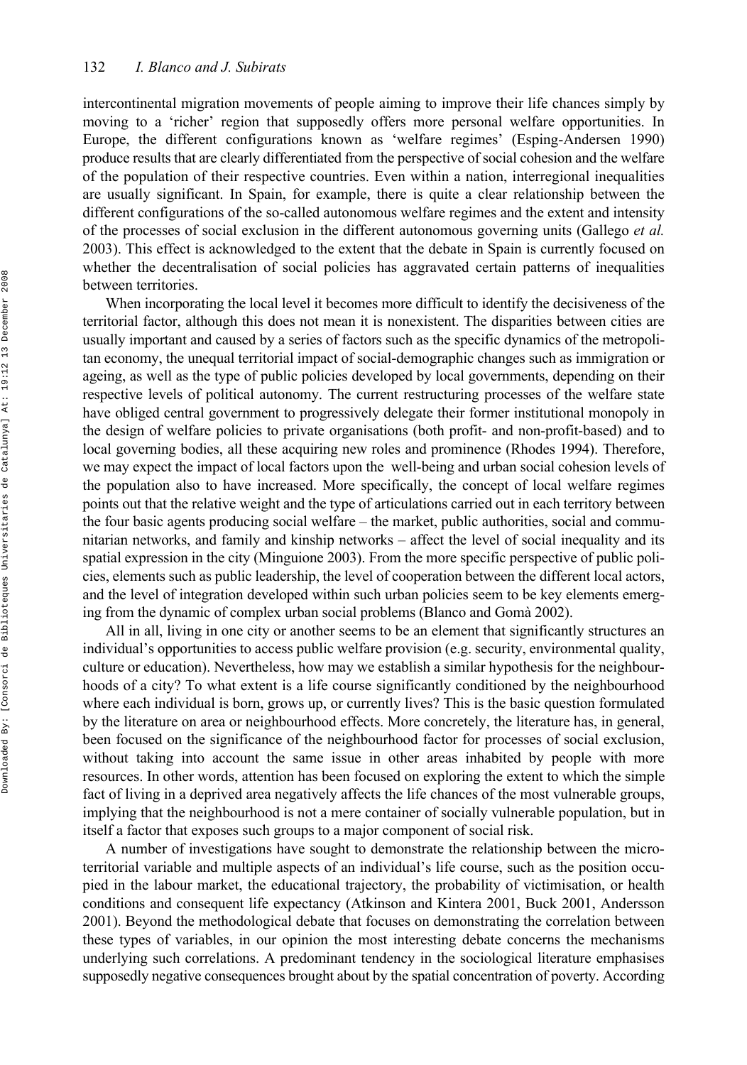intercontinental migration movements of people aiming to improve their life chances simply by moving to a 'richer' region that supposedly offers more personal welfare opportunities. In Europe, the different configurations known as 'welfare regimes' (Esping-Andersen 1990) produce results that are clearly differentiated from the perspective of social cohesion and the welfare of the population of their respective countries. Even within a nation, interregional inequalities are usually significant. In Spain, for example, there is quite a clear relationship between the different configurations of the so-called autonomous welfare regimes and the extent and intensity of the processes of social exclusion in the different autonomous governing units (Gallego *et al.* 2003). This effect is acknowledged to the extent that the debate in Spain is currently focused on whether the decentralisation of social policies has aggravated certain patterns of inequalities between territories.

When incorporating the local level it becomes more difficult to identify the decisiveness of the territorial factor, although this does not mean it is nonexistent. The disparities between cities are usually important and caused by a series of factors such as the specific dynamics of the metropolitan economy, the unequal territorial impact of social-demographic changes such as immigration or ageing, as well as the type of public policies developed by local governments, depending on their respective levels of political autonomy. The current restructuring processes of the welfare state have obliged central government to progressively delegate their former institutional monopoly in the design of welfare policies to private organisations (both profit- and non-profit-based) and to local governing bodies, all these acquiring new roles and prominence (Rhodes 1994). Therefore, we may expect the impact of local factors upon the well-being and urban social cohesion levels of the population also to have increased. More specifically, the concept of local welfare regimes points out that the relative weight and the type of articulations carried out in each territory between the four basic agents producing social welfare – the market, public authorities, social and communitarian networks, and family and kinship networks – affect the level of social inequality and its spatial expression in the city (Minguione 2003). From the more specific perspective of public policies, elements such as public leadership, the level of cooperation between the different local actors, and the level of integration developed within such urban policies seem to be key elements emerging from the dynamic of complex urban social problems (Blanco and Gomà 2002).

All in all, living in one city or another seems to be an element that significantly structures an individual's opportunities to access public welfare provision (e.g. security, environmental quality, culture or education). Nevertheless, how may we establish a similar hypothesis for the neighbourhoods of a city? To what extent is a life course significantly conditioned by the neighbourhood where each individual is born, grows up, or currently lives? This is the basic question formulated by the literature on area or neighbourhood effects. More concretely, the literature has, in general, been focused on the significance of the neighbourhood factor for processes of social exclusion, without taking into account the same issue in other areas inhabited by people with more resources. In other words, attention has been focused on exploring the extent to which the simple fact of living in a deprived area negatively affects the life chances of the most vulnerable groups, implying that the neighbourhood is not a mere container of socially vulnerable population, but in itself a factor that exposes such groups to a major component of social risk.

A number of investigations have sought to demonstrate the relationship between the microterritorial variable and multiple aspects of an individual's life course, such as the position occupied in the labour market, the educational trajectory, the probability of victimisation, or health conditions and consequent life expectancy (Atkinson and Kintera 2001, Buck 2001, Andersson 2001). Beyond the methodological debate that focuses on demonstrating the correlation between these types of variables, in our opinion the most interesting debate concerns the mechanisms underlying such correlations. A predominant tendency in the sociological literature emphasises supposedly negative consequences brought about by the spatial concentration of poverty. According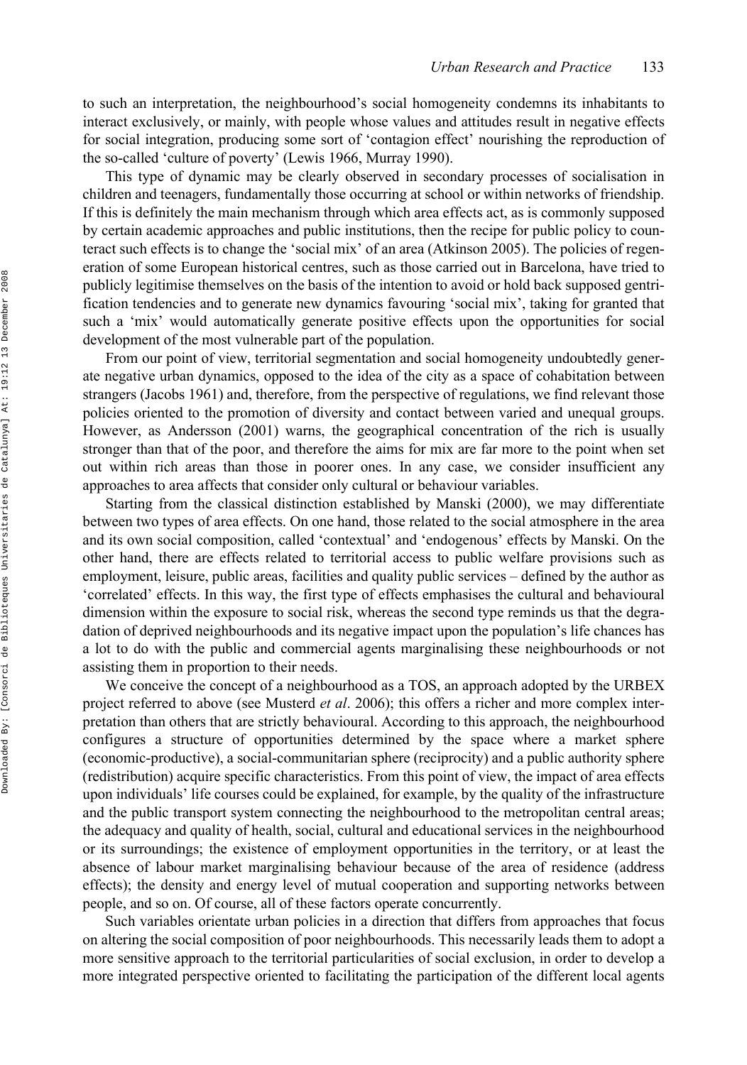to such an interpretation, the neighbourhood's social homogeneity condemns its inhabitants to interact exclusively, or mainly, with people whose values and attitudes result in negative effects for social integration, producing some sort of 'contagion effect' nourishing the reproduction of the so-called 'culture of poverty' (Lewis 1966, Murray 1990).

This type of dynamic may be clearly observed in secondary processes of socialisation in children and teenagers, fundamentally those occurring at school or within networks of friendship. If this is definitely the main mechanism through which area effects act, as is commonly supposed by certain academic approaches and public institutions, then the recipe for public policy to counteract such effects is to change the 'social mix' of an area (Atkinson 2005). The policies of regeneration of some European historical centres, such as those carried out in Barcelona, have tried to publicly legitimise themselves on the basis of the intention to avoid or hold back supposed gentrification tendencies and to generate new dynamics favouring 'social mix', taking for granted that such a 'mix' would automatically generate positive effects upon the opportunities for social development of the most vulnerable part of the population.

From our point of view, territorial segmentation and social homogeneity undoubtedly generate negative urban dynamics, opposed to the idea of the city as a space of cohabitation between strangers (Jacobs 1961) and, therefore, from the perspective of regulations, we find relevant those policies oriented to the promotion of diversity and contact between varied and unequal groups. However, as Andersson (2001) warns, the geographical concentration of the rich is usually stronger than that of the poor, and therefore the aims for mix are far more to the point when set out within rich areas than those in poorer ones. In any case, we consider insufficient any approaches to area affects that consider only cultural or behaviour variables.

Starting from the classical distinction established by Manski (2000), we may differentiate between two types of area effects. On one hand, those related to the social atmosphere in the area and its own social composition, called 'contextual' and 'endogenous' effects by Manski. On the other hand, there are effects related to territorial access to public welfare provisions such as employment, leisure, public areas, facilities and quality public services – defined by the author as 'correlated' effects. In this way, the first type of effects emphasises the cultural and behavioural dimension within the exposure to social risk, whereas the second type reminds us that the degradation of deprived neighbourhoods and its negative impact upon the population's life chances has a lot to do with the public and commercial agents marginalising these neighbourhoods or not assisting them in proportion to their needs.

We conceive the concept of a neighbourhood as a TOS, an approach adopted by the URBEX project referred to above (see Musterd *et al*. 2006); this offers a richer and more complex interpretation than others that are strictly behavioural. According to this approach, the neighbourhood configures a structure of opportunities determined by the space where a market sphere (economic-productive), a social-communitarian sphere (reciprocity) and a public authority sphere (redistribution) acquire specific characteristics. From this point of view, the impact of area effects upon individuals' life courses could be explained, for example, by the quality of the infrastructure and the public transport system connecting the neighbourhood to the metropolitan central areas; the adequacy and quality of health, social, cultural and educational services in the neighbourhood or its surroundings; the existence of employment opportunities in the territory, or at least the absence of labour market marginalising behaviour because of the area of residence (address effects); the density and energy level of mutual cooperation and supporting networks between people, and so on. Of course, all of these factors operate concurrently.

Such variables orientate urban policies in a direction that differs from approaches that focus on altering the social composition of poor neighbourhoods. This necessarily leads them to adopt a more sensitive approach to the territorial particularities of social exclusion, in order to develop a more integrated perspective oriented to facilitating the participation of the different local agents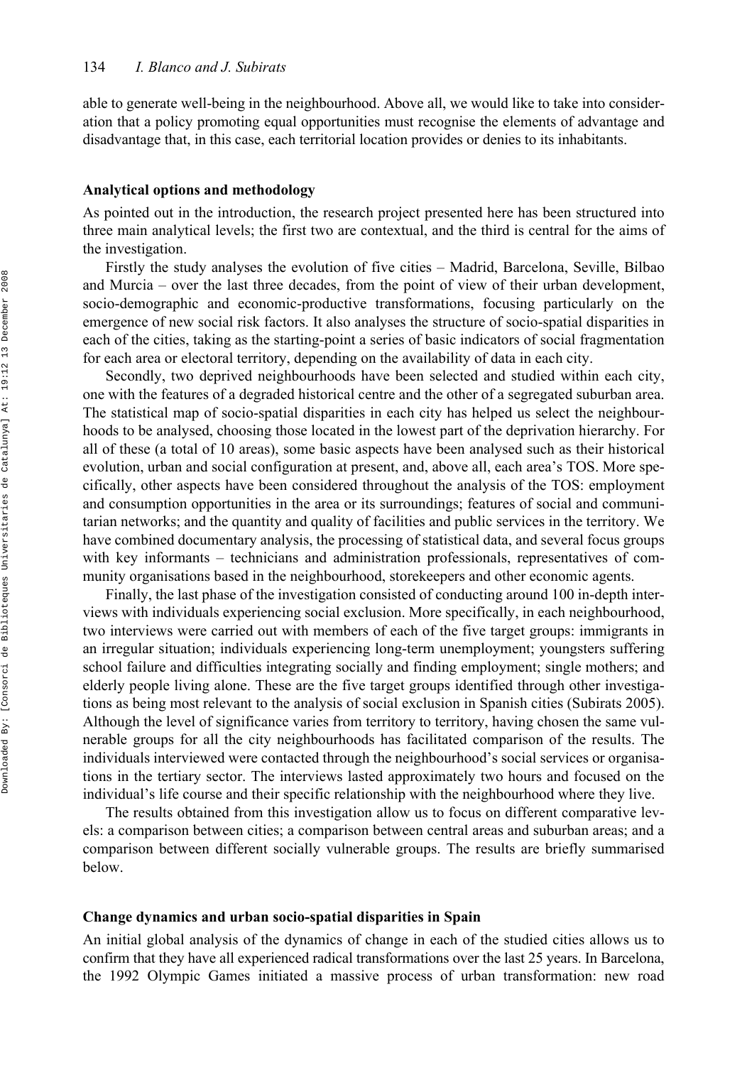able to generate well-being in the neighbourhood. Above all, we would like to take into consideration that a policy promoting equal opportunities must recognise the elements of advantage and disadvantage that, in this case, each territorial location provides or denies to its inhabitants.

#### **Analytical options and methodology**

As pointed out in the introduction, the research project presented here has been structured into three main analytical levels; the first two are contextual, and the third is central for the aims of the investigation.

Firstly the study analyses the evolution of five cities – Madrid, Barcelona, Seville, Bilbao and Murcia – over the last three decades, from the point of view of their urban development, socio-demographic and economic-productive transformations, focusing particularly on the emergence of new social risk factors. It also analyses the structure of socio-spatial disparities in each of the cities, taking as the starting-point a series of basic indicators of social fragmentation for each area or electoral territory, depending on the availability of data in each city.

Secondly, two deprived neighbourhoods have been selected and studied within each city, one with the features of a degraded historical centre and the other of a segregated suburban area. The statistical map of socio-spatial disparities in each city has helped us select the neighbourhoods to be analysed, choosing those located in the lowest part of the deprivation hierarchy. For all of these (a total of 10 areas), some basic aspects have been analysed such as their historical evolution, urban and social configuration at present, and, above all, each area's TOS. More specifically, other aspects have been considered throughout the analysis of the TOS: employment and consumption opportunities in the area or its surroundings; features of social and communitarian networks; and the quantity and quality of facilities and public services in the territory. We have combined documentary analysis, the processing of statistical data, and several focus groups with key informants – technicians and administration professionals, representatives of community organisations based in the neighbourhood, storekeepers and other economic agents.

Finally, the last phase of the investigation consisted of conducting around 100 in-depth interviews with individuals experiencing social exclusion. More specifically, in each neighbourhood, two interviews were carried out with members of each of the five target groups: immigrants in an irregular situation; individuals experiencing long-term unemployment; youngsters suffering school failure and difficulties integrating socially and finding employment; single mothers; and elderly people living alone. These are the five target groups identified through other investigations as being most relevant to the analysis of social exclusion in Spanish cities (Subirats 2005). Although the level of significance varies from territory to territory, having chosen the same vulnerable groups for all the city neighbourhoods has facilitated comparison of the results. The individuals interviewed were contacted through the neighbourhood's social services or organisations in the tertiary sector. The interviews lasted approximately two hours and focused on the individual's life course and their specific relationship with the neighbourhood where they live.

The results obtained from this investigation allow us to focus on different comparative levels: a comparison between cities; a comparison between central areas and suburban areas; and a comparison between different socially vulnerable groups. The results are briefly summarised below.

#### **Change dynamics and urban socio-spatial disparities in Spain**

An initial global analysis of the dynamics of change in each of the studied cities allows us to confirm that they have all experienced radical transformations over the last 25 years. In Barcelona, the 1992 Olympic Games initiated a massive process of urban transformation: new road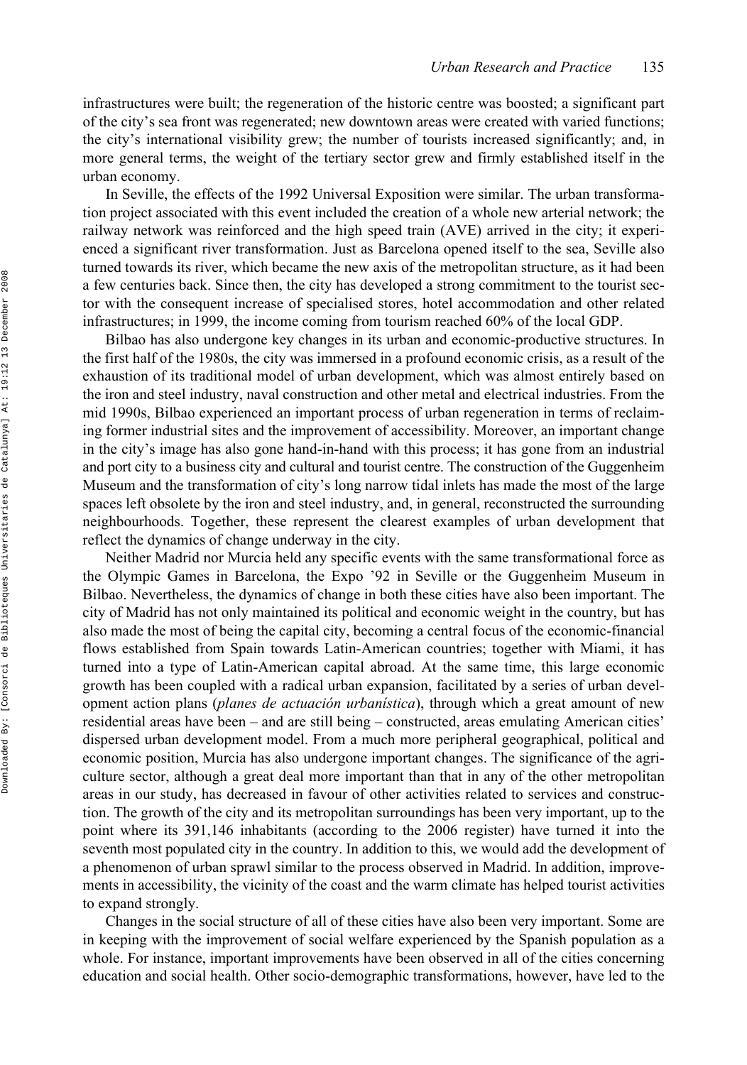infrastructures were built; the regeneration of the historic centre was boosted; a significant part of the city's sea front was regenerated; new downtown areas were created with varied functions; the city's international visibility grew; the number of tourists increased significantly; and, in more general terms, the weight of the tertiary sector grew and firmly established itself in the urban economy.

In Seville, the effects of the 1992 Universal Exposition were similar. The urban transformation project associated with this event included the creation of a whole new arterial network; the railway network was reinforced and the high speed train (AVE) arrived in the city; it experienced a significant river transformation. Just as Barcelona opened itself to the sea, Seville also turned towards its river, which became the new axis of the metropolitan structure, as it had been a few centuries back. Since then, the city has developed a strong commitment to the tourist sector with the consequent increase of specialised stores, hotel accommodation and other related infrastructures; in 1999, the income coming from tourism reached 60% of the local GDP.

Bilbao has also undergone key changes in its urban and economic-productive structures. In the first half of the 1980s, the city was immersed in a profound economic crisis, as a result of the exhaustion of its traditional model of urban development, which was almost entirely based on the iron and steel industry, naval construction and other metal and electrical industries. From the mid 1990s, Bilbao experienced an important process of urban regeneration in terms of reclaiming former industrial sites and the improvement of accessibility. Moreover, an important change in the city's image has also gone hand-in-hand with this process; it has gone from an industrial and port city to a business city and cultural and tourist centre. The construction of the Guggenheim Museum and the transformation of city's long narrow tidal inlets has made the most of the large spaces left obsolete by the iron and steel industry, and, in general, reconstructed the surrounding neighbourhoods. Together, these represent the clearest examples of urban development that reflect the dynamics of change underway in the city.

Neither Madrid nor Murcia held any specific events with the same transformational force as the Olympic Games in Barcelona, the Expo '92 in Seville or the Guggenheim Museum in Bilbao. Nevertheless, the dynamics of change in both these cities have also been important. The city of Madrid has not only maintained its political and economic weight in the country, but has also made the most of being the capital city, becoming a central focus of the economic-financial flows established from Spain towards Latin-American countries; together with Miami, it has turned into a type of Latin-American capital abroad. At the same time, this large economic growth has been coupled with a radical urban expansion, facilitated by a series of urban development action plans (*planes de actuación urbanística*), through which a great amount of new residential areas have been – and are still being – constructed, areas emulating American cities' dispersed urban development model. From a much more peripheral geographical, political and economic position, Murcia has also undergone important changes. The significance of the agriculture sector, although a great deal more important than that in any of the other metropolitan areas in our study, has decreased in favour of other activities related to services and construction. The growth of the city and its metropolitan surroundings has been very important, up to the point where its 391,146 inhabitants (according to the 2006 register) have turned it into the seventh most populated city in the country. In addition to this, we would add the development of a phenomenon of urban sprawl similar to the process observed in Madrid. In addition, improvements in accessibility, the vicinity of the coast and the warm climate has helped tourist activities to expand strongly.

Changes in the social structure of all of these cities have also been very important. Some are in keeping with the improvement of social welfare experienced by the Spanish population as a whole. For instance, important improvements have been observed in all of the cities concerning education and social health. Other socio-demographic transformations, however, have led to the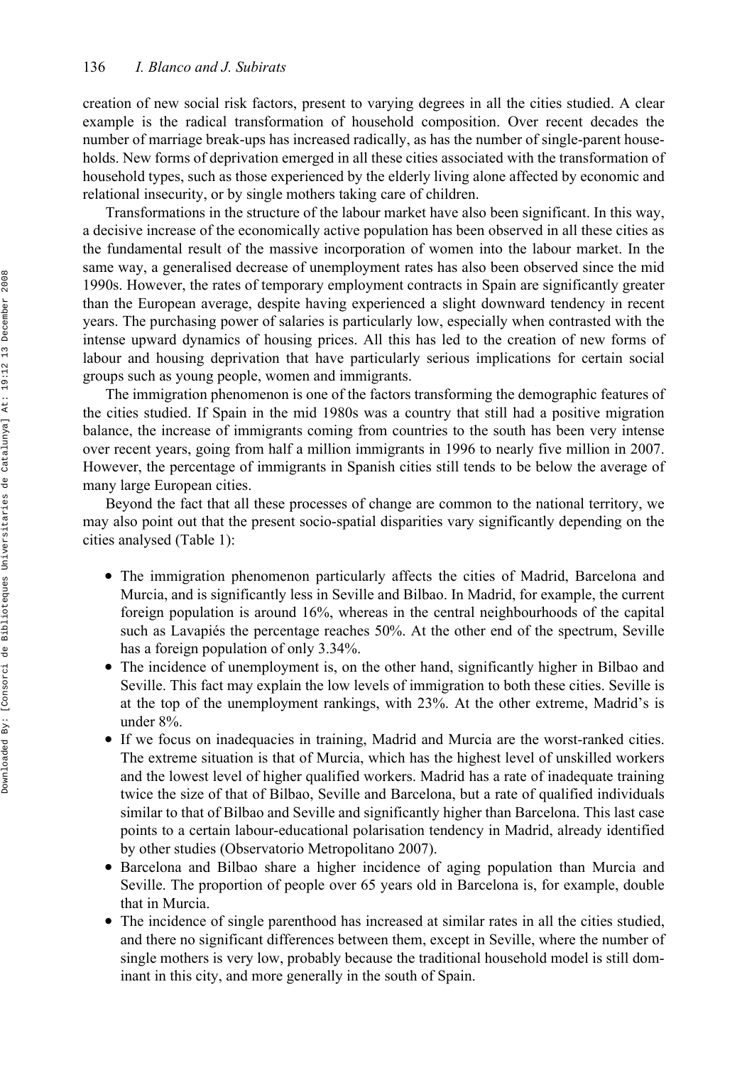creation of new social risk factors, present to varying degrees in all the cities studied. A clear example is the radical transformation of household composition. Over recent decades the number of marriage break-ups has increased radically, as has the number of single-parent households. New forms of deprivation emerged in all these cities associated with the transformation of household types, such as those experienced by the elderly living alone affected by economic and relational insecurity, or by single mothers taking care of children.

Transformations in the structure of the labour market have also been significant. In this way, a decisive increase of the economically active population has been observed in all these cities as the fundamental result of the massive incorporation of women into the labour market. In the same way, a generalised decrease of unemployment rates has also been observed since the mid 1990s. However, the rates of temporary employment contracts in Spain are significantly greater than the European average, despite having experienced a slight downward tendency in recent years. The purchasing power of salaries is particularly low, especially when contrasted with the intense upward dynamics of housing prices. All this has led to the creation of new forms of labour and housing deprivation that have particularly serious implications for certain social groups such as young people, women and immigrants.

The immigration phenomenon is one of the factors transforming the demographic features of the cities studied. If Spain in the mid 1980s was a country that still had a positive migration balance, the increase of immigrants coming from countries to the south has been very intense over recent years, going from half a million immigrants in 1996 to nearly five million in 2007. However, the percentage of immigrants in Spanish cities still tends to be below the average of many large European cities.

Beyond the fact that all these processes of change are common to the national territory, we may also point out that the present socio-spatial disparities vary significantly depending on the cities analysed (Table 1):

- The immigration phenomenon particularly affects the cities of Madrid, Barcelona and Murcia, and is significantly less in Seville and Bilbao. In Madrid, for example, the current foreign population is around 16%, whereas in the central neighbourhoods of the capital such as Lavapiés the percentage reaches 50%. At the other end of the spectrum, Seville has a foreign population of only 3.34%.
- The incidence of unemployment is, on the other hand, significantly higher in Bilbao and Seville. This fact may explain the low levels of immigration to both these cities. Seville is at the top of the unemployment rankings, with 23%. At the other extreme, Madrid's is under 8%.
- If we focus on inadequacies in training, Madrid and Murcia are the worst-ranked cities. The extreme situation is that of Murcia, which has the highest level of unskilled workers and the lowest level of higher qualified workers. Madrid has a rate of inadequate training twice the size of that of Bilbao, Seville and Barcelona, but a rate of qualified individuals similar to that of Bilbao and Seville and significantly higher than Barcelona. This last case points to a certain labour-educational polarisation tendency in Madrid, already identified by other studies (Observatorio Metropolitano 2007).
- Barcelona and Bilbao share a higher incidence of aging population than Murcia and Seville. The proportion of people over 65 years old in Barcelona is, for example, double that in Murcia.
- The incidence of single parenthood has increased at similar rates in all the cities studied, and there no significant differences between them, except in Seville, where the number of single mothers is very low, probably because the traditional household model is still dominant in this city, and more generally in the south of Spain.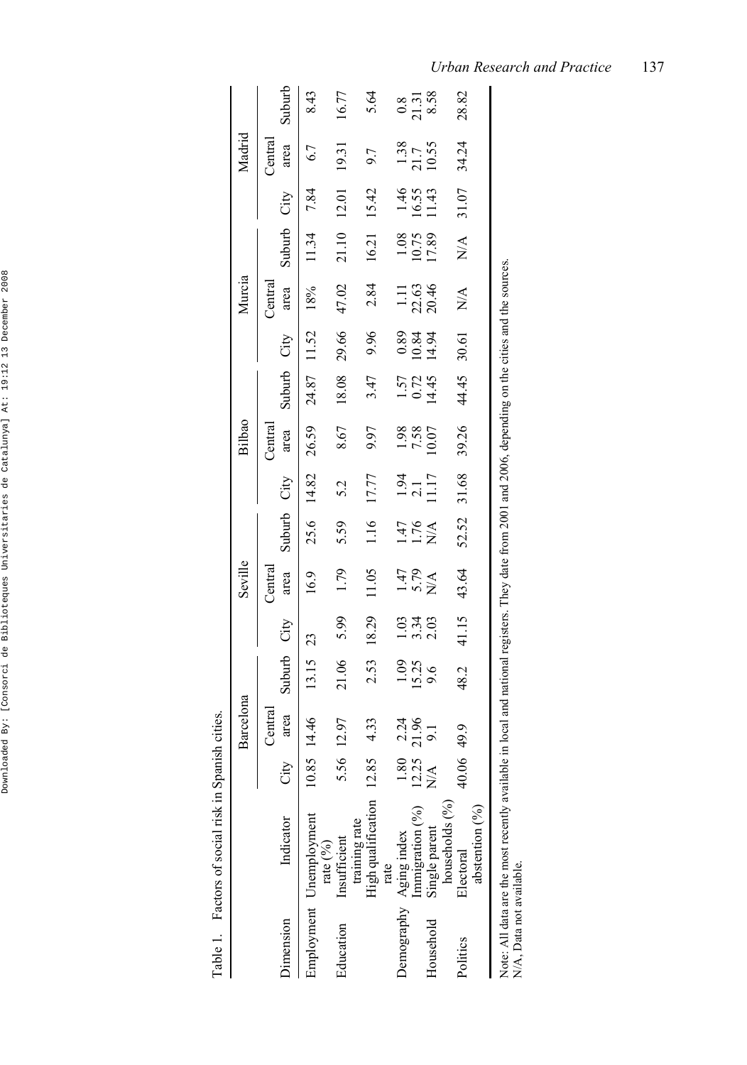|                             | I      |
|-----------------------------|--------|
|                             | Bilbao |
|                             |        |
| المعموم<br>Porial rick in S |        |
| $\frac{1}{2}$               |        |

|                          |                                                   |                        | Barcelona                                                                                              |                      |                 | Seville              |                              |                    | Bilbao                |                    |                      | Murcia                  |                                 |                            | Madrid                       |                     |
|--------------------------|---------------------------------------------------|------------------------|--------------------------------------------------------------------------------------------------------|----------------------|-----------------|----------------------|------------------------------|--------------------|-----------------------|--------------------|----------------------|-------------------------|---------------------------------|----------------------------|------------------------------|---------------------|
| <b>Dimension</b>         | Indicator                                         | City                   | Centra<br>area                                                                                         | Suburb               | City            | Centra<br>area       | Suburb                       | City               | Central<br>area       | Suburb             | City                 | area<br>Centra          | Suburb                          | City                       | Centra<br>area               | Suburb              |
|                          | Employment Unemployment<br>rate $(%)$             | 10.85                  | 14.46                                                                                                  | 13.15                | $\overline{23}$ | 16.9                 |                              | 25.6 14.82 26.59   |                       | 24.87 11.52 18%    |                      |                         | 11.34                           | 7.84                       | 6.7                          | 8.43                |
| Education                | Insufficient                                      | 5.56                   | 12.97                                                                                                  | 21.06                | 5.99            | 1.79                 | 5.59                         | 5.2                | 8.67                  | 18.08              | 29.66                | 47.02                   | 21.10                           | 12.01                      | 19.31                        | 16.77               |
|                          | High qualification 12.85<br>training rate<br>rate |                        | 4.33                                                                                                   | 2.53                 | 18.29           | 11.05                | 1.16                         | 17.77              | 9.97                  | 3.47               | 9.96                 | 2.84                    | 16.21                           | 15.42                      | 9.7                          | 5.64                |
|                          | Demography Aging index                            | $\frac{80}{2}$         | $\frac{2.24}{21.96}$                                                                                   | $\frac{1.09}{15.06}$ |                 |                      |                              |                    |                       |                    |                      |                         |                                 |                            |                              | $\frac{0.8}{21.31}$ |
| Household                | Immigration (%)<br>Single parent                  | 12.25<br>$\frac{A}{A}$ |                                                                                                        |                      | 33.43<br>1323   | $1.47$<br>5.79<br>NA | $1.47$<br>$-1.76$<br>$-1.74$ | $\frac{1.94}{2.1}$ | 1.58<br>7.58<br>10.07 | $\frac{157}{0.72}$ | 0.34<br>1934<br>0.34 | $\frac{111}{22.46}$     | $\frac{1.08}{17.89}$            | $146$<br>$16.5$<br>$11.43$ | $\frac{1.38}{21.7}$<br>10.55 |                     |
| Politics                 | households (%)<br>abstention $(%)$<br>Electoral   | 40.06                  | 49.9                                                                                                   | 48.2                 | 41.15           | 43.64                | 52.52                        | 31.68              | 39.26                 | 44.45              | 30.61                | $\mathbb{N} \mathbb{A}$ | $\frac{\mathbf{A}}{\mathbf{A}}$ | 31.07                      | 34.24                        | 28.82               |
| N/A, Data not available. | Note: All data are the most recently available    |                        | in local and national registers. They date from 2001 and 2006, depending on the cities and the sources |                      |                 |                      |                              |                    |                       |                    |                      |                         |                                 |                            |                              |                     |

*Urban Research and Practice* 137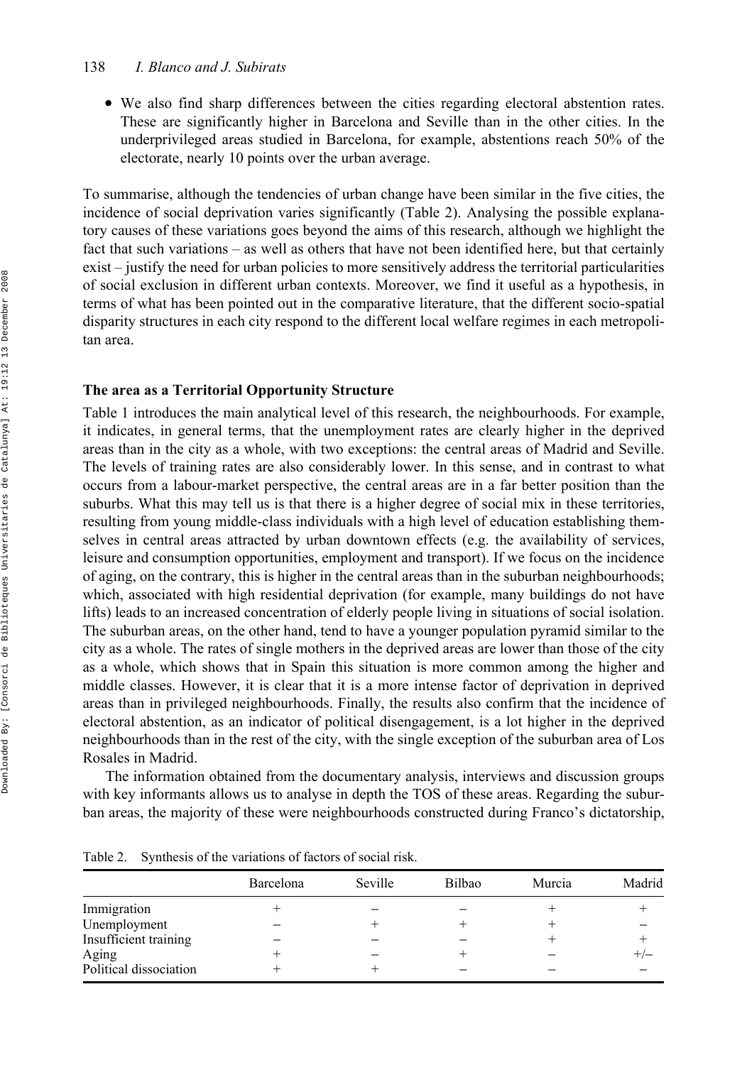• We also find sharp differences between the cities regarding electoral abstention rates. These are significantly higher in Barcelona and Seville than in the other cities. In the underprivileged areas studied in Barcelona, for example, abstentions reach 50% of the electorate, nearly 10 points over the urban average.

To summarise, although the tendencies of urban change have been similar in the five cities, the incidence of social deprivation varies significantly (Table 2). Analysing the possible explanatory causes of these variations goes beyond the aims of this research, although we highlight the fact that such variations – as well as others that have not been identified here, but that certainly exist – justify the need for urban policies to more sensitively address the territorial particularities of social exclusion in different urban contexts. Moreover, we find it useful as a hypothesis, in terms of what has been pointed out in the comparative literature, that the different socio-spatial disparity structures in each city respond to the different local welfare regimes in each metropolitan area.

# **The area as a Territorial Opportunity Structure**

Table 1 introduces the main analytical level of this research, the neighbourhoods. For example, it indicates, in general terms, that the unemployment rates are clearly higher in the deprived areas than in the city as a whole, with two exceptions: the central areas of Madrid and Seville. The levels of training rates are also considerably lower. In this sense, and in contrast to what occurs from a labour-market perspective, the central areas are in a far better position than the suburbs. What this may tell us is that there is a higher degree of social mix in these territories, resulting from young middle-class individuals with a high level of education establishing themselves in central areas attracted by urban downtown effects (e.g. the availability of services, leisure and consumption opportunities, employment and transport). If we focus on the incidence of aging, on the contrary, this is higher in the central areas than in the suburban neighbourhoods; which, associated with high residential deprivation (for example, many buildings do not have lifts) leads to an increased concentration of elderly people living in situations of social isolation. The suburban areas, on the other hand, tend to have a younger population pyramid similar to the city as a whole. The rates of single mothers in the deprived areas are lower than those of the city as a whole, which shows that in Spain this situation is more common among the higher and middle classes. However, it is clear that it is a more intense factor of deprivation in deprived areas than in privileged neighbourhoods. Finally, the results also confirm that the incidence of electoral abstention, as an indicator of political disengagement, is a lot higher in the deprived neighbourhoods than in the rest of the city, with the single exception of the suburban area of Los Rosales in Madrid.

The information obtained from the documentary analysis, interviews and discussion groups with key informants allows us to analyse in depth the TOS of these areas. Regarding the suburban areas, the majority of these were neighbourhoods constructed during Franco's dictatorship,

|                        | Barcelona | Seville | Bilbao | Murcia | Madrid   |
|------------------------|-----------|---------|--------|--------|----------|
| Immigration            |           |         |        |        |          |
| Unemployment           |           |         |        |        |          |
| Insufficient training  |           |         |        |        |          |
| Aging                  |           |         |        |        | $^{+/-}$ |
| Political dissociation |           |         |        |        |          |

Table 2. Synthesis of the variations of factors of social risk.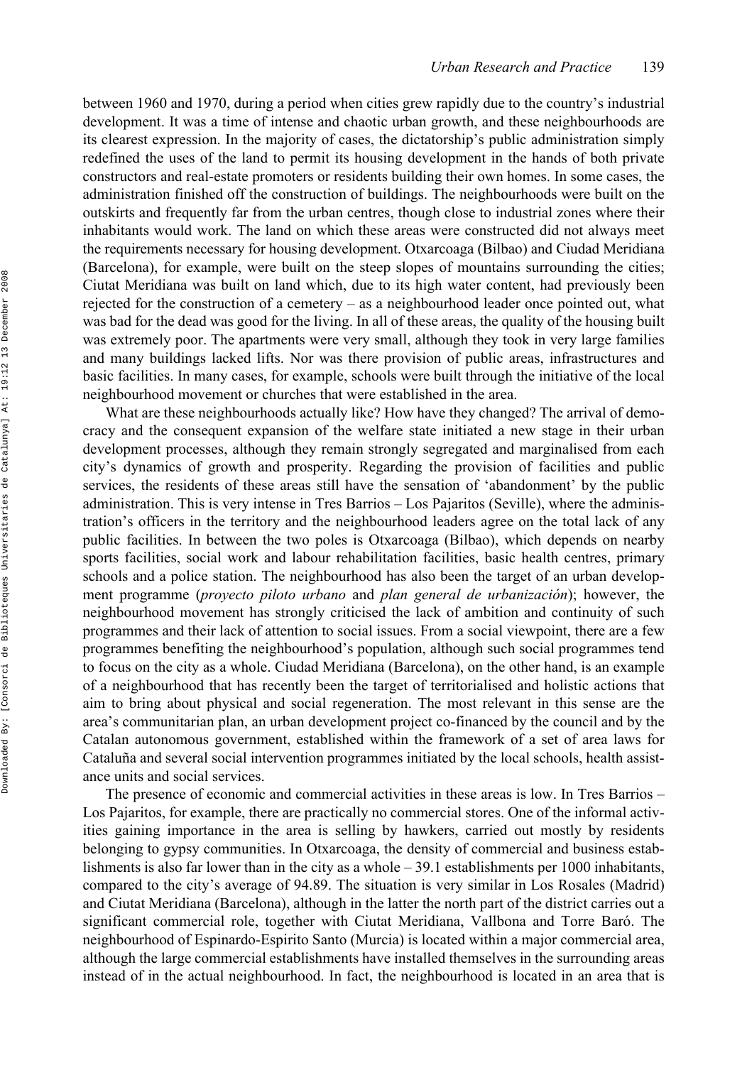between 1960 and 1970, during a period when cities grew rapidly due to the country's industrial development. It was a time of intense and chaotic urban growth, and these neighbourhoods are its clearest expression. In the majority of cases, the dictatorship's public administration simply redefined the uses of the land to permit its housing development in the hands of both private constructors and real-estate promoters or residents building their own homes. In some cases, the administration finished off the construction of buildings. The neighbourhoods were built on the outskirts and frequently far from the urban centres, though close to industrial zones where their inhabitants would work. The land on which these areas were constructed did not always meet the requirements necessary for housing development. Otxarcoaga (Bilbao) and Ciudad Meridiana (Barcelona), for example, were built on the steep slopes of mountains surrounding the cities; Ciutat Meridiana was built on land which, due to its high water content, had previously been rejected for the construction of a cemetery – as a neighbourhood leader once pointed out, what was bad for the dead was good for the living. In all of these areas, the quality of the housing built was extremely poor. The apartments were very small, although they took in very large families and many buildings lacked lifts. Nor was there provision of public areas, infrastructures and basic facilities. In many cases, for example, schools were built through the initiative of the local neighbourhood movement or churches that were established in the area.

What are these neighbourhoods actually like? How have they changed? The arrival of democracy and the consequent expansion of the welfare state initiated a new stage in their urban development processes, although they remain strongly segregated and marginalised from each city's dynamics of growth and prosperity. Regarding the provision of facilities and public services, the residents of these areas still have the sensation of 'abandonment' by the public administration. This is very intense in Tres Barrios – Los Pajaritos (Seville), where the administration's officers in the territory and the neighbourhood leaders agree on the total lack of any public facilities. In between the two poles is Otxarcoaga (Bilbao), which depends on nearby sports facilities, social work and labour rehabilitation facilities, basic health centres, primary schools and a police station. The neighbourhood has also been the target of an urban development programme (*proyecto piloto urbano* and *plan general de urbanización*); however, the neighbourhood movement has strongly criticised the lack of ambition and continuity of such programmes and their lack of attention to social issues. From a social viewpoint, there are a few programmes benefiting the neighbourhood's population, although such social programmes tend to focus on the city as a whole. Ciudad Meridiana (Barcelona), on the other hand, is an example of a neighbourhood that has recently been the target of territorialised and holistic actions that aim to bring about physical and social regeneration. The most relevant in this sense are the area's communitarian plan, an urban development project co-financed by the council and by the Catalan autonomous government, established within the framework of a set of area laws for Cataluña and several social intervention programmes initiated by the local schools, health assistance units and social services.

The presence of economic and commercial activities in these areas is low. In Tres Barrios – Los Pajaritos, for example, there are practically no commercial stores. One of the informal activities gaining importance in the area is selling by hawkers, carried out mostly by residents belonging to gypsy communities. In Otxarcoaga, the density of commercial and business establishments is also far lower than in the city as a whole  $-39.1$  establishments per 1000 inhabitants, compared to the city's average of 94.89. The situation is very similar in Los Rosales (Madrid) and Ciutat Meridiana (Barcelona), although in the latter the north part of the district carries out a significant commercial role, together with Ciutat Meridiana, Vallbona and Torre Baró. The neighbourhood of Espinardo-Espirito Santo (Murcia) is located within a major commercial area, although the large commercial establishments have installed themselves in the surrounding areas instead of in the actual neighbourhood. In fact, the neighbourhood is located in an area that is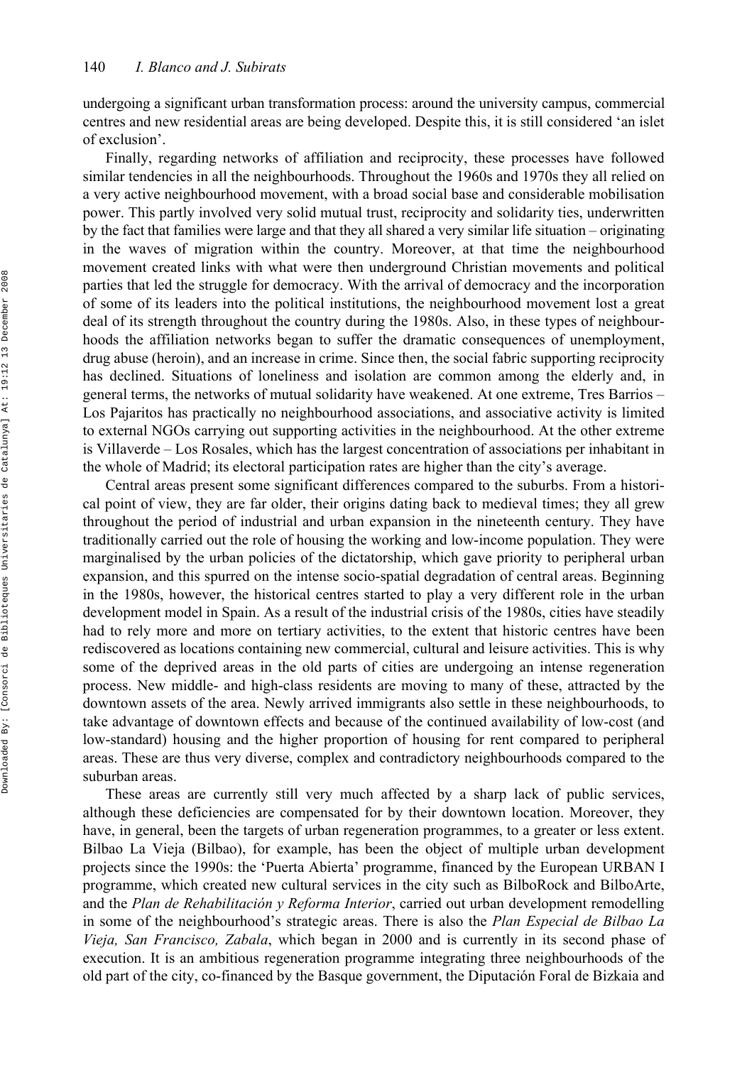undergoing a significant urban transformation process: around the university campus, commercial centres and new residential areas are being developed. Despite this, it is still considered 'an islet of exclusion'.

Finally, regarding networks of affiliation and reciprocity, these processes have followed similar tendencies in all the neighbourhoods. Throughout the 1960s and 1970s they all relied on a very active neighbourhood movement, with a broad social base and considerable mobilisation power. This partly involved very solid mutual trust, reciprocity and solidarity ties, underwritten by the fact that families were large and that they all shared a very similar life situation – originating in the waves of migration within the country. Moreover, at that time the neighbourhood movement created links with what were then underground Christian movements and political parties that led the struggle for democracy. With the arrival of democracy and the incorporation of some of its leaders into the political institutions, the neighbourhood movement lost a great deal of its strength throughout the country during the 1980s. Also, in these types of neighbourhoods the affiliation networks began to suffer the dramatic consequences of unemployment, drug abuse (heroin), and an increase in crime. Since then, the social fabric supporting reciprocity has declined. Situations of loneliness and isolation are common among the elderly and, in general terms, the networks of mutual solidarity have weakened. At one extreme, Tres Barrios – Los Pajaritos has practically no neighbourhood associations, and associative activity is limited to external NGOs carrying out supporting activities in the neighbourhood. At the other extreme is Villaverde – Los Rosales, which has the largest concentration of associations per inhabitant in the whole of Madrid; its electoral participation rates are higher than the city's average.

Central areas present some significant differences compared to the suburbs. From a historical point of view, they are far older, their origins dating back to medieval times; they all grew throughout the period of industrial and urban expansion in the nineteenth century. They have traditionally carried out the role of housing the working and low-income population. They were marginalised by the urban policies of the dictatorship, which gave priority to peripheral urban expansion, and this spurred on the intense socio-spatial degradation of central areas. Beginning in the 1980s, however, the historical centres started to play a very different role in the urban development model in Spain. As a result of the industrial crisis of the 1980s, cities have steadily had to rely more and more on tertiary activities, to the extent that historic centres have been rediscovered as locations containing new commercial, cultural and leisure activities. This is why some of the deprived areas in the old parts of cities are undergoing an intense regeneration process. New middle- and high-class residents are moving to many of these, attracted by the downtown assets of the area. Newly arrived immigrants also settle in these neighbourhoods, to take advantage of downtown effects and because of the continued availability of low-cost (and low-standard) housing and the higher proportion of housing for rent compared to peripheral areas. These are thus very diverse, complex and contradictory neighbourhoods compared to the suburban areas.

These areas are currently still very much affected by a sharp lack of public services, although these deficiencies are compensated for by their downtown location. Moreover, they have, in general, been the targets of urban regeneration programmes, to a greater or less extent. Bilbao La Vieja (Bilbao), for example, has been the object of multiple urban development projects since the 1990s: the 'Puerta Abierta' programme, financed by the European URBAN I programme, which created new cultural services in the city such as BilboRock and BilboArte, and the *Plan de Rehabilitación y Reforma Interior*, carried out urban development remodelling in some of the neighbourhood's strategic areas. There is also the *Plan Especial de Bilbao La Vieja, San Francisco, Zabala*, which began in 2000 and is currently in its second phase of execution. It is an ambitious regeneration programme integrating three neighbourhoods of the old part of the city, co-financed by the Basque government, the Diputación Foral de Bizkaia and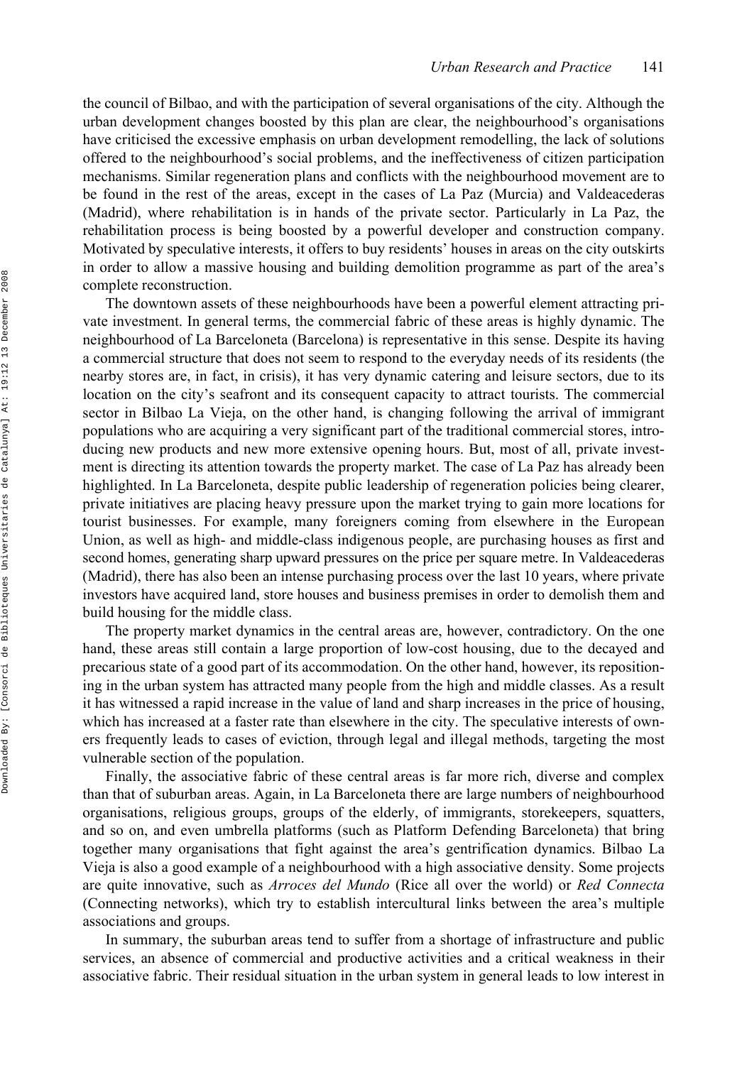the council of Bilbao, and with the participation of several organisations of the city. Although the urban development changes boosted by this plan are clear, the neighbourhood's organisations have criticised the excessive emphasis on urban development remodelling, the lack of solutions offered to the neighbourhood's social problems, and the ineffectiveness of citizen participation mechanisms. Similar regeneration plans and conflicts with the neighbourhood movement are to be found in the rest of the areas, except in the cases of La Paz (Murcia) and Valdeacederas (Madrid), where rehabilitation is in hands of the private sector. Particularly in La Paz, the rehabilitation process is being boosted by a powerful developer and construction company. Motivated by speculative interests, it offers to buy residents' houses in areas on the city outskirts in order to allow a massive housing and building demolition programme as part of the area's complete reconstruction.

The downtown assets of these neighbourhoods have been a powerful element attracting private investment. In general terms, the commercial fabric of these areas is highly dynamic. The neighbourhood of La Barceloneta (Barcelona) is representative in this sense. Despite its having a commercial structure that does not seem to respond to the everyday needs of its residents (the nearby stores are, in fact, in crisis), it has very dynamic catering and leisure sectors, due to its location on the city's seafront and its consequent capacity to attract tourists. The commercial sector in Bilbao La Vieja, on the other hand, is changing following the arrival of immigrant populations who are acquiring a very significant part of the traditional commercial stores, introducing new products and new more extensive opening hours. But, most of all, private investment is directing its attention towards the property market. The case of La Paz has already been highlighted. In La Barceloneta, despite public leadership of regeneration policies being clearer, private initiatives are placing heavy pressure upon the market trying to gain more locations for tourist businesses. For example, many foreigners coming from elsewhere in the European Union, as well as high- and middle-class indigenous people, are purchasing houses as first and second homes, generating sharp upward pressures on the price per square metre. In Valdeacederas (Madrid), there has also been an intense purchasing process over the last 10 years, where private investors have acquired land, store houses and business premises in order to demolish them and build housing for the middle class.

The property market dynamics in the central areas are, however, contradictory. On the one hand, these areas still contain a large proportion of low-cost housing, due to the decayed and precarious state of a good part of its accommodation. On the other hand, however, its repositioning in the urban system has attracted many people from the high and middle classes. As a result it has witnessed a rapid increase in the value of land and sharp increases in the price of housing, which has increased at a faster rate than elsewhere in the city. The speculative interests of owners frequently leads to cases of eviction, through legal and illegal methods, targeting the most vulnerable section of the population.

Finally, the associative fabric of these central areas is far more rich, diverse and complex than that of suburban areas. Again, in La Barceloneta there are large numbers of neighbourhood organisations, religious groups, groups of the elderly, of immigrants, storekeepers, squatters, and so on, and even umbrella platforms (such as Platform Defending Barceloneta) that bring together many organisations that fight against the area's gentrification dynamics. Bilbao La Vieja is also a good example of a neighbourhood with a high associative density. Some projects are quite innovative, such as *Arroces del Mundo* (Rice all over the world) or *Red Connecta* (Connecting networks), which try to establish intercultural links between the area's multiple associations and groups.

In summary, the suburban areas tend to suffer from a shortage of infrastructure and public services, an absence of commercial and productive activities and a critical weakness in their associative fabric. Their residual situation in the urban system in general leads to low interest in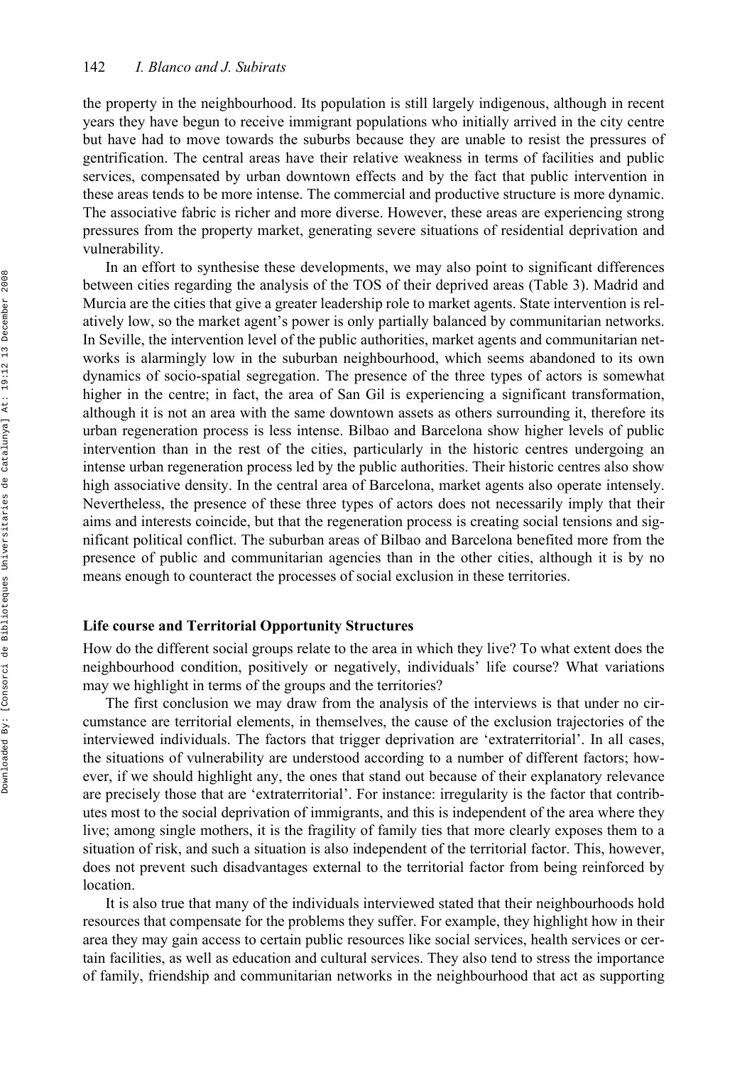the property in the neighbourhood. Its population is still largely indigenous, although in recent years they have begun to receive immigrant populations who initially arrived in the city centre but have had to move towards the suburbs because they are unable to resist the pressures of gentrification. The central areas have their relative weakness in terms of facilities and public services, compensated by urban downtown effects and by the fact that public intervention in these areas tends to be more intense. The commercial and productive structure is more dynamic. The associative fabric is richer and more diverse. However, these areas are experiencing strong pressures from the property market, generating severe situations of residential deprivation and vulnerability.

In an effort to synthesise these developments, we may also point to significant differences between cities regarding the analysis of the TOS of their deprived areas (Table 3). Madrid and Murcia are the cities that give a greater leadership role to market agents. State intervention is relatively low, so the market agent's power is only partially balanced by communitarian networks. In Seville, the intervention level of the public authorities, market agents and communitarian networks is alarmingly low in the suburban neighbourhood, which seems abandoned to its own dynamics of socio-spatial segregation. The presence of the three types of actors is somewhat higher in the centre; in fact, the area of San Gil is experiencing a significant transformation, although it is not an area with the same downtown assets as others surrounding it, therefore its urban regeneration process is less intense. Bilbao and Barcelona show higher levels of public intervention than in the rest of the cities, particularly in the historic centres undergoing an intense urban regeneration process led by the public authorities. Their historic centres also show high associative density. In the central area of Barcelona, market agents also operate intensely. Nevertheless, the presence of these three types of actors does not necessarily imply that their aims and interests coincide, but that the regeneration process is creating social tensions and significant political conflict. The suburban areas of Bilbao and Barcelona benefited more from the presence of public and communitarian agencies than in the other cities, although it is by no means enough to counteract the processes of social exclusion in these territories.

## **Life course and Territorial Opportunity Structures**

How do the different social groups relate to the area in which they live? To what extent does the neighbourhood condition, positively or negatively, individuals' life course? What variations may we highlight in terms of the groups and the territories?

The first conclusion we may draw from the analysis of the interviews is that under no circumstance are territorial elements, in themselves, the cause of the exclusion trajectories of the interviewed individuals. The factors that trigger deprivation are 'extraterritorial'. In all cases, the situations of vulnerability are understood according to a number of different factors; however, if we should highlight any, the ones that stand out because of their explanatory relevance are precisely those that are 'extraterritorial'. For instance: irregularity is the factor that contributes most to the social deprivation of immigrants, and this is independent of the area where they live; among single mothers, it is the fragility of family ties that more clearly exposes them to a situation of risk, and such a situation is also independent of the territorial factor. This, however, does not prevent such disadvantages external to the territorial factor from being reinforced by location.

It is also true that many of the individuals interviewed stated that their neighbourhoods hold resources that compensate for the problems they suffer. For example, they highlight how in their area they may gain access to certain public resources like social services, health services or certain facilities, as well as education and cultural services. They also tend to stress the importance of family, friendship and communitarian networks in the neighbourhood that act as supporting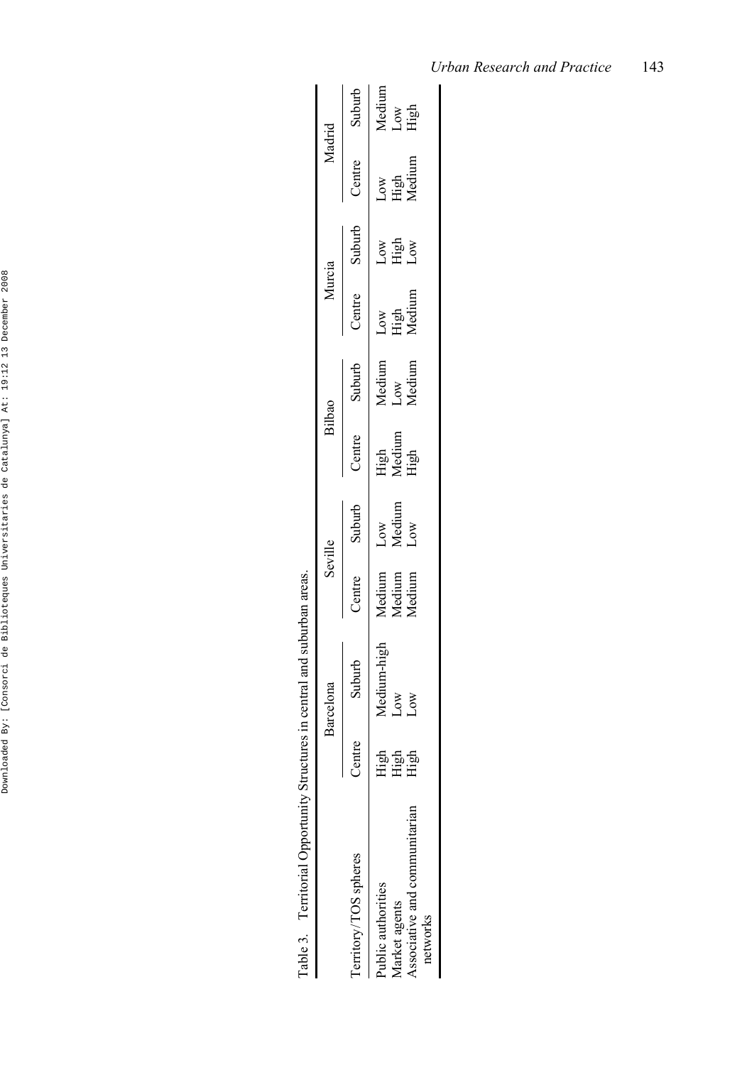| Control Co               |
|--------------------------|
|                          |
|                          |
|                          |
| í                        |
| $\overline{\phantom{a}}$ |
| ì<br>ł                   |
| ¢                        |
| l                        |
| l<br>l<br>j              |
| $\vdots$<br>i<br>į<br>l  |

| and the community of the context.                                                |           |                            |                            |                      |                        |                         |                       |                    |                       |                          |
|----------------------------------------------------------------------------------|-----------|----------------------------|----------------------------|----------------------|------------------------|-------------------------|-----------------------|--------------------|-----------------------|--------------------------|
|                                                                                  |           | Barcelona                  | Seville                    |                      |                        | Bilbao                  | Murcia                |                    |                       | Madrid                   |
| Territory/TOS spheres                                                            | Centre    | Suburb                     | Centre                     | Suburb               |                        | Centre Suburb           |                       | Centre Suburb      |                       | Centre Suburb            |
| Associative and communitarian<br>Public authorities<br>Market agents<br>networks | 딈<br>High | Medium-high<br>ŠΣ<br>SO(2) | Medium<br>Medium<br>Medium | Low<br>Medium<br>Low | High<br>Medium<br>High | Medium<br>Low<br>Medium | Low<br>High<br>Medium | Day<br>High<br>Low | Low<br>High<br>Medium | Medium<br>$L$ ow<br>High |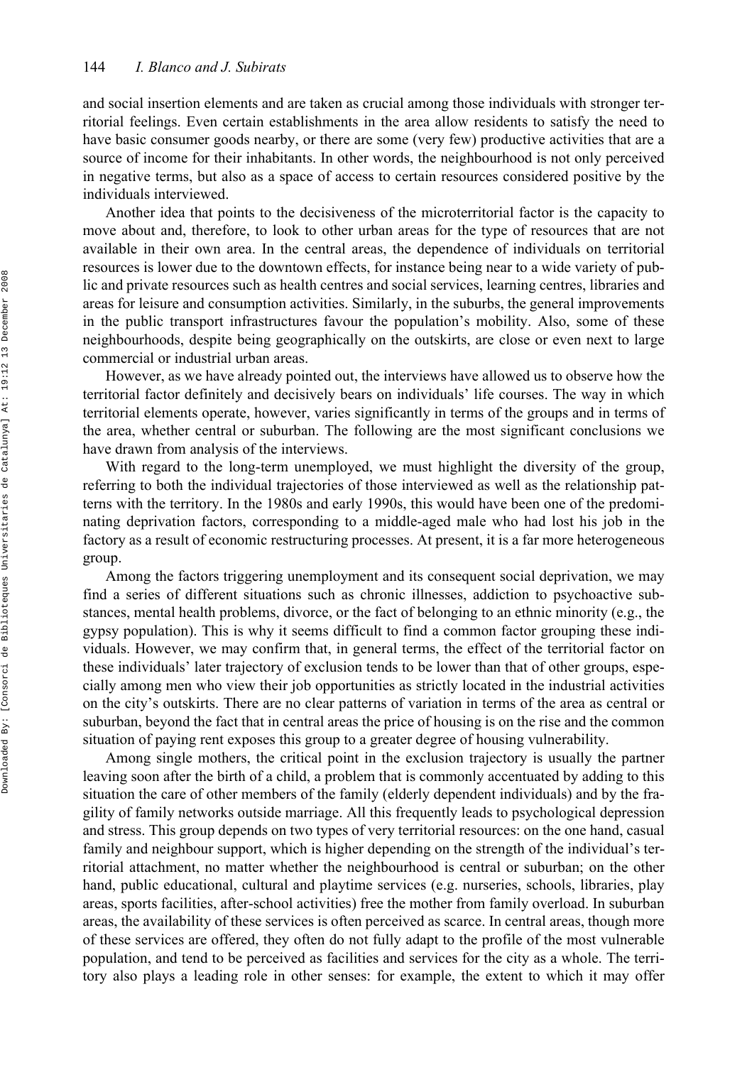and social insertion elements and are taken as crucial among those individuals with stronger territorial feelings. Even certain establishments in the area allow residents to satisfy the need to have basic consumer goods nearby, or there are some (very few) productive activities that are a source of income for their inhabitants. In other words, the neighbourhood is not only perceived in negative terms, but also as a space of access to certain resources considered positive by the individuals interviewed.

Another idea that points to the decisiveness of the microterritorial factor is the capacity to move about and, therefore, to look to other urban areas for the type of resources that are not available in their own area. In the central areas, the dependence of individuals on territorial resources is lower due to the downtown effects, for instance being near to a wide variety of public and private resources such as health centres and social services, learning centres, libraries and areas for leisure and consumption activities. Similarly, in the suburbs, the general improvements in the public transport infrastructures favour the population's mobility. Also, some of these neighbourhoods, despite being geographically on the outskirts, are close or even next to large commercial or industrial urban areas.

However, as we have already pointed out, the interviews have allowed us to observe how the territorial factor definitely and decisively bears on individuals' life courses. The way in which territorial elements operate, however, varies significantly in terms of the groups and in terms of the area, whether central or suburban. The following are the most significant conclusions we have drawn from analysis of the interviews.

With regard to the long-term unemployed, we must highlight the diversity of the group, referring to both the individual trajectories of those interviewed as well as the relationship patterns with the territory. In the 1980s and early 1990s, this would have been one of the predominating deprivation factors, corresponding to a middle-aged male who had lost his job in the factory as a result of economic restructuring processes. At present, it is a far more heterogeneous group.

Among the factors triggering unemployment and its consequent social deprivation, we may find a series of different situations such as chronic illnesses, addiction to psychoactive substances, mental health problems, divorce, or the fact of belonging to an ethnic minority (e.g., the gypsy population). This is why it seems difficult to find a common factor grouping these individuals. However, we may confirm that, in general terms, the effect of the territorial factor on these individuals' later trajectory of exclusion tends to be lower than that of other groups, especially among men who view their job opportunities as strictly located in the industrial activities on the city's outskirts. There are no clear patterns of variation in terms of the area as central or suburban, beyond the fact that in central areas the price of housing is on the rise and the common situation of paying rent exposes this group to a greater degree of housing vulnerability.

Among single mothers, the critical point in the exclusion trajectory is usually the partner leaving soon after the birth of a child, a problem that is commonly accentuated by adding to this situation the care of other members of the family (elderly dependent individuals) and by the fragility of family networks outside marriage. All this frequently leads to psychological depression and stress. This group depends on two types of very territorial resources: on the one hand, casual family and neighbour support, which is higher depending on the strength of the individual's territorial attachment, no matter whether the neighbourhood is central or suburban; on the other hand, public educational, cultural and playtime services (e.g. nurseries, schools, libraries, play areas, sports facilities, after-school activities) free the mother from family overload. In suburban areas, the availability of these services is often perceived as scarce. In central areas, though more of these services are offered, they often do not fully adapt to the profile of the most vulnerable population, and tend to be perceived as facilities and services for the city as a whole. The territory also plays a leading role in other senses: for example, the extent to which it may offer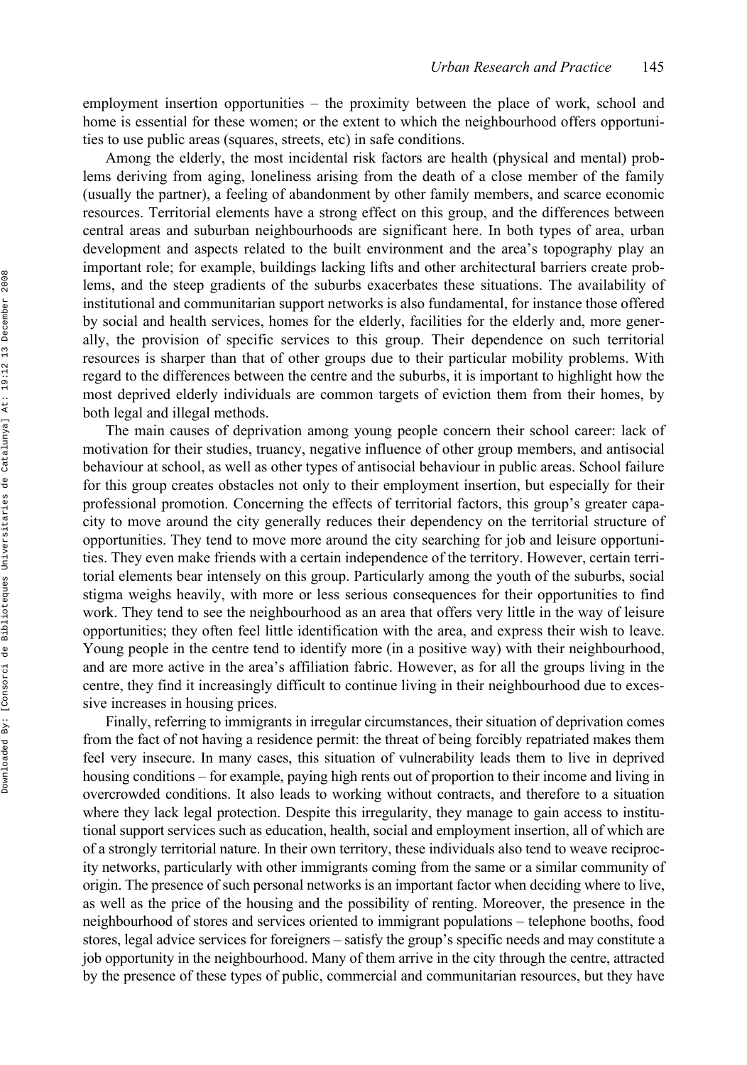employment insertion opportunities – the proximity between the place of work, school and home is essential for these women; or the extent to which the neighbourhood offers opportunities to use public areas (squares, streets, etc) in safe conditions.

Among the elderly, the most incidental risk factors are health (physical and mental) problems deriving from aging, loneliness arising from the death of a close member of the family (usually the partner), a feeling of abandonment by other family members, and scarce economic resources. Territorial elements have a strong effect on this group, and the differences between central areas and suburban neighbourhoods are significant here. In both types of area, urban development and aspects related to the built environment and the area's topography play an important role; for example, buildings lacking lifts and other architectural barriers create problems, and the steep gradients of the suburbs exacerbates these situations. The availability of institutional and communitarian support networks is also fundamental, for instance those offered by social and health services, homes for the elderly, facilities for the elderly and, more generally, the provision of specific services to this group. Their dependence on such territorial resources is sharper than that of other groups due to their particular mobility problems. With regard to the differences between the centre and the suburbs, it is important to highlight how the most deprived elderly individuals are common targets of eviction them from their homes, by both legal and illegal methods.

The main causes of deprivation among young people concern their school career: lack of motivation for their studies, truancy, negative influence of other group members, and antisocial behaviour at school, as well as other types of antisocial behaviour in public areas. School failure for this group creates obstacles not only to their employment insertion, but especially for their professional promotion. Concerning the effects of territorial factors, this group's greater capacity to move around the city generally reduces their dependency on the territorial structure of opportunities. They tend to move more around the city searching for job and leisure opportunities. They even make friends with a certain independence of the territory. However, certain territorial elements bear intensely on this group. Particularly among the youth of the suburbs, social stigma weighs heavily, with more or less serious consequences for their opportunities to find work. They tend to see the neighbourhood as an area that offers very little in the way of leisure opportunities; they often feel little identification with the area, and express their wish to leave. Young people in the centre tend to identify more (in a positive way) with their neighbourhood, and are more active in the area's affiliation fabric. However, as for all the groups living in the centre, they find it increasingly difficult to continue living in their neighbourhood due to excessive increases in housing prices.

Finally, referring to immigrants in irregular circumstances, their situation of deprivation comes from the fact of not having a residence permit: the threat of being forcibly repatriated makes them feel very insecure. In many cases, this situation of vulnerability leads them to live in deprived housing conditions – for example, paying high rents out of proportion to their income and living in overcrowded conditions. It also leads to working without contracts, and therefore to a situation where they lack legal protection. Despite this irregularity, they manage to gain access to institutional support services such as education, health, social and employment insertion, all of which are of a strongly territorial nature. In their own territory, these individuals also tend to weave reciprocity networks, particularly with other immigrants coming from the same or a similar community of origin. The presence of such personal networks is an important factor when deciding where to live, as well as the price of the housing and the possibility of renting. Moreover, the presence in the neighbourhood of stores and services oriented to immigrant populations – telephone booths, food stores, legal advice services for foreigners – satisfy the group's specific needs and may constitute a job opportunity in the neighbourhood. Many of them arrive in the city through the centre, attracted by the presence of these types of public, commercial and communitarian resources, but they have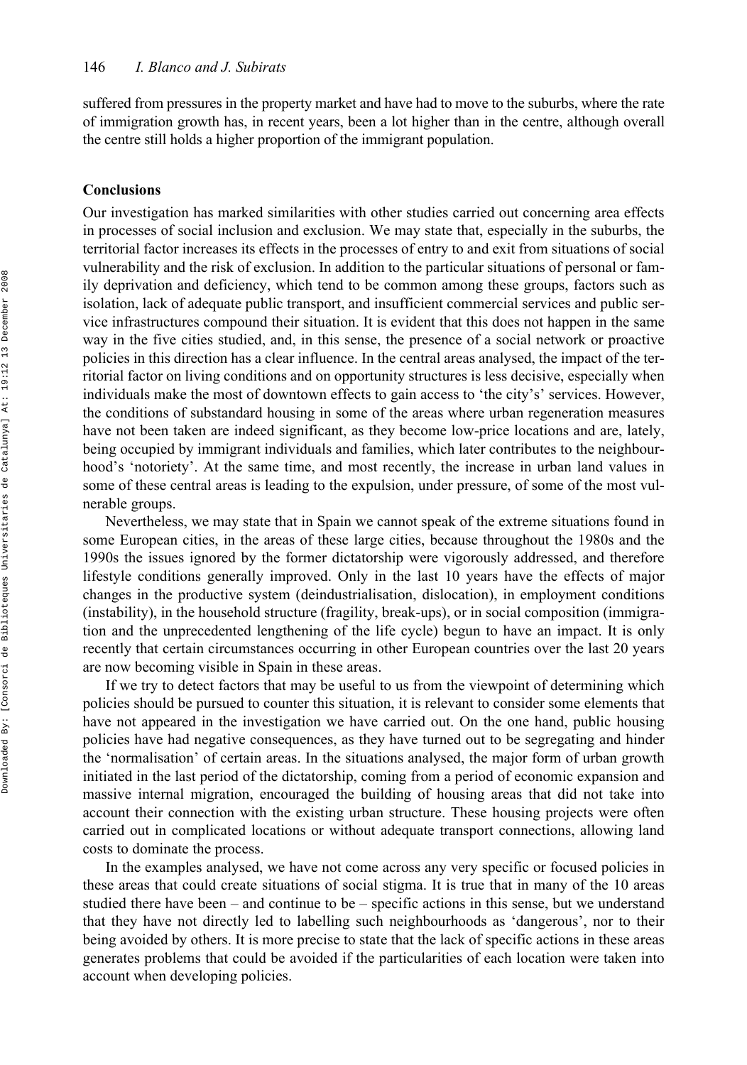suffered from pressures in the property market and have had to move to the suburbs, where the rate of immigration growth has, in recent years, been a lot higher than in the centre, although overall the centre still holds a higher proportion of the immigrant population.

### **Conclusions**

Our investigation has marked similarities with other studies carried out concerning area effects in processes of social inclusion and exclusion. We may state that, especially in the suburbs, the territorial factor increases its effects in the processes of entry to and exit from situations of social vulnerability and the risk of exclusion. In addition to the particular situations of personal or family deprivation and deficiency, which tend to be common among these groups, factors such as isolation, lack of adequate public transport, and insufficient commercial services and public service infrastructures compound their situation. It is evident that this does not happen in the same way in the five cities studied, and, in this sense, the presence of a social network or proactive policies in this direction has a clear influence. In the central areas analysed, the impact of the territorial factor on living conditions and on opportunity structures is less decisive, especially when individuals make the most of downtown effects to gain access to 'the city's' services. However, the conditions of substandard housing in some of the areas where urban regeneration measures have not been taken are indeed significant, as they become low-price locations and are, lately, being occupied by immigrant individuals and families, which later contributes to the neighbourhood's 'notoriety'. At the same time, and most recently, the increase in urban land values in some of these central areas is leading to the expulsion, under pressure, of some of the most vulnerable groups.

Nevertheless, we may state that in Spain we cannot speak of the extreme situations found in some European cities, in the areas of these large cities, because throughout the 1980s and the 1990s the issues ignored by the former dictatorship were vigorously addressed, and therefore lifestyle conditions generally improved. Only in the last 10 years have the effects of major changes in the productive system (deindustrialisation, dislocation), in employment conditions (instability), in the household structure (fragility, break-ups), or in social composition (immigration and the unprecedented lengthening of the life cycle) begun to have an impact. It is only recently that certain circumstances occurring in other European countries over the last 20 years are now becoming visible in Spain in these areas.

If we try to detect factors that may be useful to us from the viewpoint of determining which policies should be pursued to counter this situation, it is relevant to consider some elements that have not appeared in the investigation we have carried out. On the one hand, public housing policies have had negative consequences, as they have turned out to be segregating and hinder the 'normalisation' of certain areas. In the situations analysed, the major form of urban growth initiated in the last period of the dictatorship, coming from a period of economic expansion and massive internal migration, encouraged the building of housing areas that did not take into account their connection with the existing urban structure. These housing projects were often carried out in complicated locations or without adequate transport connections, allowing land costs to dominate the process.

In the examples analysed, we have not come across any very specific or focused policies in these areas that could create situations of social stigma. It is true that in many of the 10 areas studied there have been – and continue to be – specific actions in this sense, but we understand that they have not directly led to labelling such neighbourhoods as 'dangerous', nor to their being avoided by others. It is more precise to state that the lack of specific actions in these areas generates problems that could be avoided if the particularities of each location were taken into account when developing policies.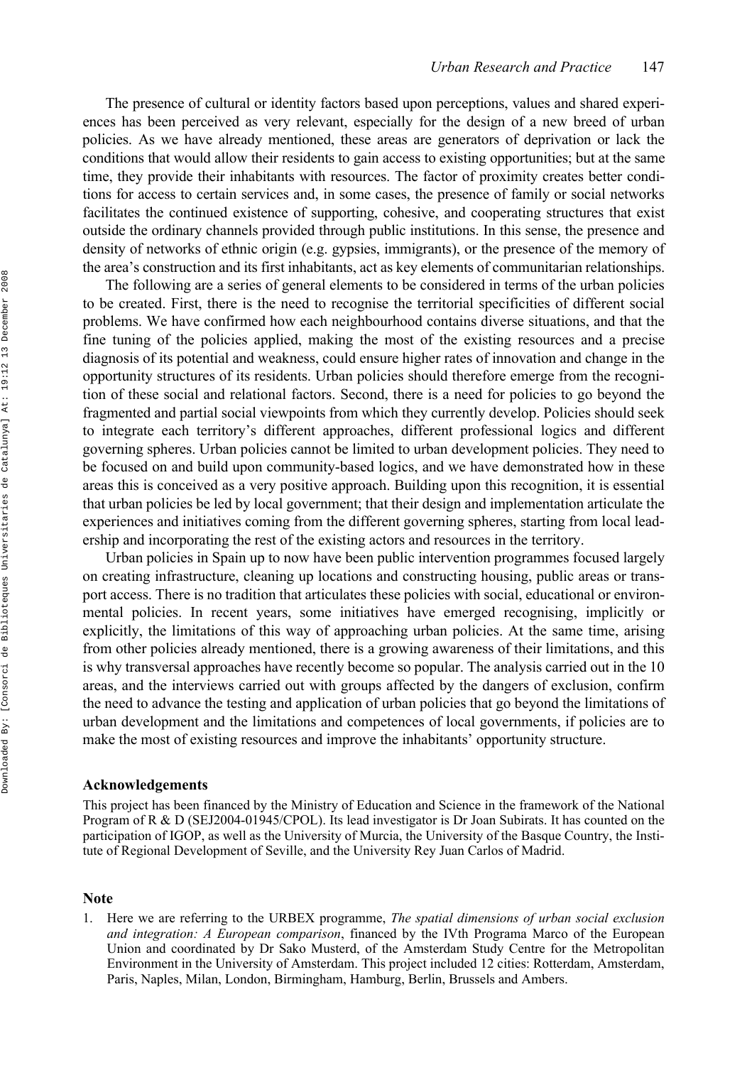The presence of cultural or identity factors based upon perceptions, values and shared experiences has been perceived as very relevant, especially for the design of a new breed of urban policies. As we have already mentioned, these areas are generators of deprivation or lack the conditions that would allow their residents to gain access to existing opportunities; but at the same time, they provide their inhabitants with resources. The factor of proximity creates better conditions for access to certain services and, in some cases, the presence of family or social networks facilitates the continued existence of supporting, cohesive, and cooperating structures that exist outside the ordinary channels provided through public institutions. In this sense, the presence and density of networks of ethnic origin (e.g. gypsies, immigrants), or the presence of the memory of the area's construction and its first inhabitants, act as key elements of communitarian relationships.

The following are a series of general elements to be considered in terms of the urban policies to be created. First, there is the need to recognise the territorial specificities of different social problems. We have confirmed how each neighbourhood contains diverse situations, and that the fine tuning of the policies applied, making the most of the existing resources and a precise diagnosis of its potential and weakness, could ensure higher rates of innovation and change in the opportunity structures of its residents. Urban policies should therefore emerge from the recognition of these social and relational factors. Second, there is a need for policies to go beyond the fragmented and partial social viewpoints from which they currently develop. Policies should seek to integrate each territory's different approaches, different professional logics and different governing spheres. Urban policies cannot be limited to urban development policies. They need to be focused on and build upon community-based logics, and we have demonstrated how in these areas this is conceived as a very positive approach. Building upon this recognition, it is essential that urban policies be led by local government; that their design and implementation articulate the experiences and initiatives coming from the different governing spheres, starting from local leadership and incorporating the rest of the existing actors and resources in the territory.

Urban policies in Spain up to now have been public intervention programmes focused largely on creating infrastructure, cleaning up locations and constructing housing, public areas or transport access. There is no tradition that articulates these policies with social, educational or environmental policies. In recent years, some initiatives have emerged recognising, implicitly or explicitly, the limitations of this way of approaching urban policies. At the same time, arising from other policies already mentioned, there is a growing awareness of their limitations, and this is why transversal approaches have recently become so popular. The analysis carried out in the 10 areas, and the interviews carried out with groups affected by the dangers of exclusion, confirm the need to advance the testing and application of urban policies that go beyond the limitations of urban development and the limitations and competences of local governments, if policies are to make the most of existing resources and improve the inhabitants' opportunity structure.

### **Acknowledgements**

This project has been financed by the Ministry of Education and Science in the framework of the National Program of R & D (SEJ2004-01945/CPOL). Its lead investigator is Dr Joan Subirats. It has counted on the participation of IGOP, as well as the University of Murcia, the University of the Basque Country, the Institute of Regional Development of Seville, and the University Rey Juan Carlos of Madrid.

# **Note**

1. Here we are referring to the URBEX programme, *The spatial dimensions of urban social exclusion and integration: A European comparison*, financed by the IVth Programa Marco of the European Union and coordinated by Dr Sako Musterd, of the Amsterdam Study Centre for the Metropolitan Environment in the University of Amsterdam. This project included 12 cities: Rotterdam, Amsterdam, Paris, Naples, Milan, London, Birmingham, Hamburg, Berlin, Brussels and Ambers.